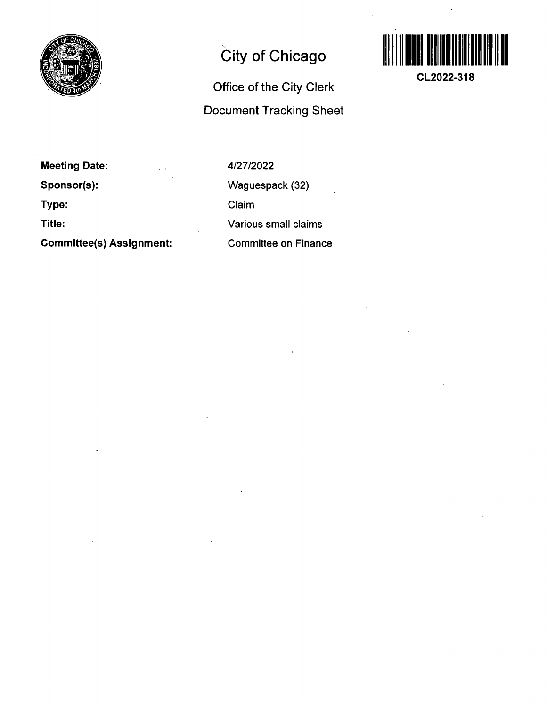

## **City of Chicago**

## **Office of the City Clerk Document Tracking Sheet**



**CL2022-318** 

**Meeting Date: Sponsor(s): Type: Title:** 

**Committee(s) Assignment:** 

4/27/2022 Waguespack (32) Claim Various small claims Committee on Finance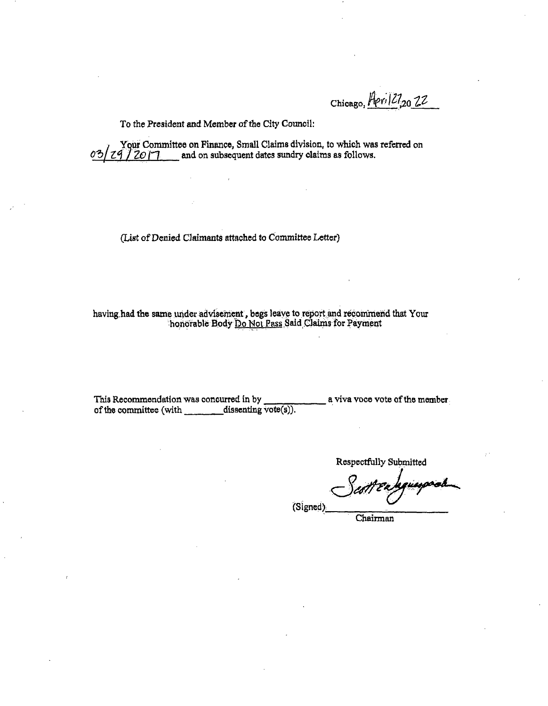Chicago, Heril<sup>27</sup>,202<sup>2</sup>

To the President and Member of the City Council:

**I Your Committee on Finance, Small Claims division, to which was referred on**  $\frac{3}{20}$  **/**  $\frac{7}{20}$  **/ 7 and on subsequent dates sundry claims as follows.** and on subsequent dates sundry claims as follows.

**(List of Denied Claimants attached to Committee Letter)** 

having had the same under advisement , begs leave to report and recommend that Your honorable Body Do Not Pass Said Claims for Payment

**This Recommendation was concurred in by a viva voce vote of the member**  of the committee (with **dissenting vote(s)**).

**Respectfully Submitted** 

quesposib

**(Signed).** 

**Chairman**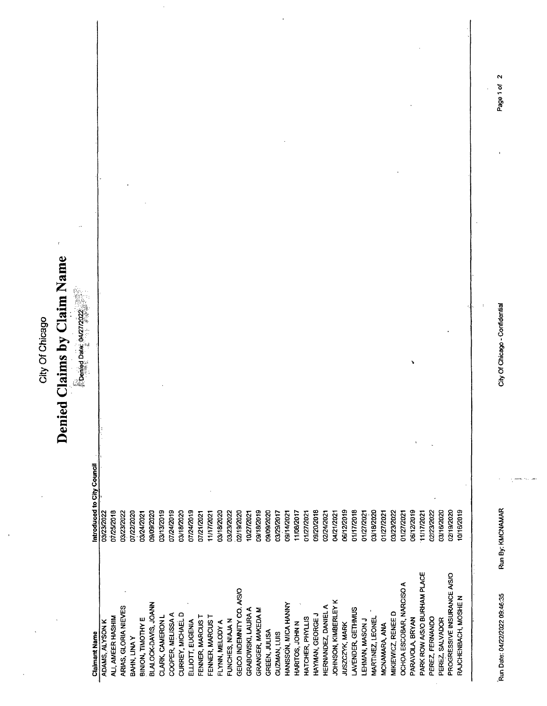|                                         | City Of Chicago                                    |             |
|-----------------------------------------|----------------------------------------------------|-------------|
|                                         | Claims by Claim Name<br>Denied                     |             |
|                                         | $\mathbb{R}$ Denied Date: 04/27/2022               |             |
| ADAMS, ALYSON K<br><b>Claimant Name</b> | Introduced to City Council<br>03/23/2022           |             |
| ALI, AMEER HASHIM                       | 07/25/2018                                         |             |
| ARIAS, GLORIA NIEVES                    | 03/23/2022                                         |             |
| BAHN, LINA Y                            | 07/22/2020                                         |             |
| BINION, TIMOTHY E                       | 03/24/2021                                         |             |
| BLALOCK-DAVIS, JOANN                    | 09/09/2020                                         |             |
| CLARK, CAMERON L                        | 03/13/2019                                         |             |
| COOPER, MELISSA A                       | 07/24/2019                                         |             |
| CURREY, MICHAEL D                       | 03/18/2020                                         |             |
| ELLIOTT, EUGENIA                        | 07/24/2019                                         |             |
| FENNER, MARCUS T                        | 07/21/2021                                         |             |
| FENNER, MARCUST                         | 11/17/2021                                         |             |
| FLYNN, MELODY A                         | 03/18/2020                                         |             |
| FUNCHES, NIAJA N                        | 03/23/2022                                         |             |
| GEICO INDEMNITY CO. A/S/O               | 02/19/2020                                         |             |
| GRABOWSKI, LAURA A                      | 10/27/2021                                         |             |
| GRANGER, MAKEDA M                       | 09/18/2019                                         |             |
| GREEN, JULISA                           | 09/09/2020                                         |             |
| GUZMAN, LUIS                            | 03/29/2017                                         |             |
| HANSSON, MICA HANNY                     | 09/14/2021                                         |             |
| HARITOS, JOHN N                         | 11/08/2017                                         |             |
| HATCHER, PHYLLIS                        | 01/27/2021                                         |             |
| HAYMAN, GEORGE J                        | 09/20/2018                                         |             |
| HERNANDEZ, DANIEL A                     | 02/24/2021                                         |             |
| JOHNSON, KIMBERLEY K                    | 04/21/2021                                         |             |
| JUSZCZYK, MARK                          | 06/12/2019                                         |             |
| LAVENDER, GETHMUS                       | 01/17/2018                                         |             |
| LEHMAN, MASON J                         | 01/27/2021                                         |             |
| MARTINEZ, LEONEL                        | 03/18/2020                                         |             |
| MCNAMARA, ANA                           | 01/27/2021                                         |             |
| MIKIEWICZ, RENEE D                      | 03/23/2022                                         |             |
| OCHOA ESCOBAR, NARCISO A                | 01/27/2021                                         |             |
| PARAVOLA, BRYAN                         | 06/12/2019                                         |             |
| PARK ROW A/S/O BURHAM PLACE             | 11/17/2021                                         |             |
| PEREZ, FERNANDO                         | 02/23/2022                                         |             |
| PEREZ, SALVADOR                         | 03/16/2020                                         |             |
| PROGRESSIVE INSURANCE A/S/O             | 02/19/2020                                         |             |
| RAJCHENBACH, MOSHE N                    | 10/16/2019                                         |             |
|                                         |                                                    |             |
|                                         |                                                    |             |
| Run Date: 04/22/2022 09:46:35           | City Of Chicago - Confidential<br>Run By: KMCNAMAR | Page 1 of 2 |
|                                         |                                                    |             |

 $\mathbf{v}$  ,  $\mathbf{v}$ 

 $\mathit{max}(\mathbf{g}_1)$  be  $\mathit{max}$